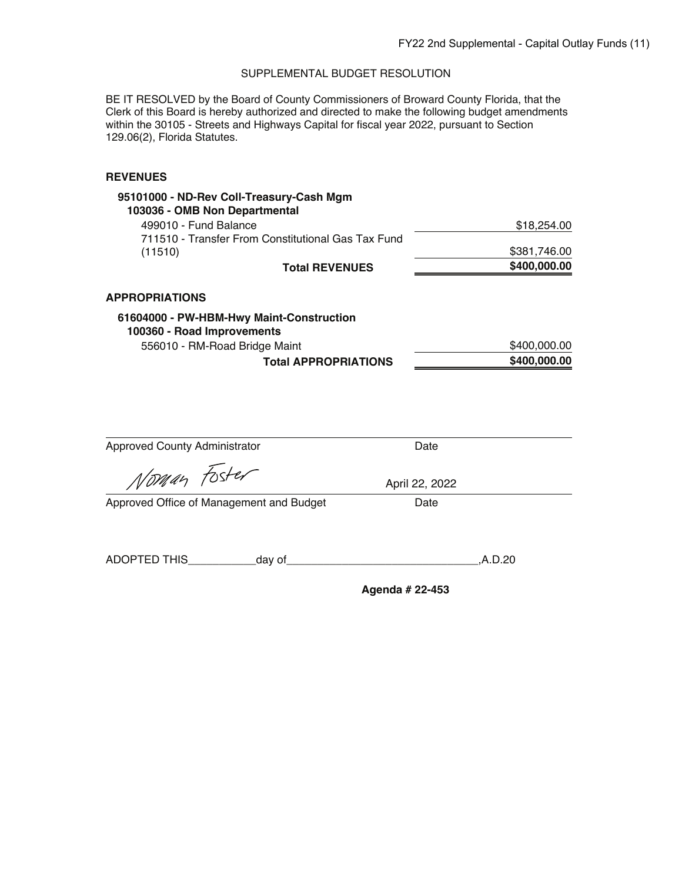BE IT RESOLVED by the Board of County Commissioners of Broward County Florida, that the Clerk of this Board is hereby authorized and directed to make the following budget amendments within the 30105 - Streets and Highways Capital for fiscal year 2022, pursuant to Section 129.06(2), Florida Statutes.

| 95101000 - ND-Rev Coll-Treasury-Cash Mgm<br>103036 - OMB Non Departmental |              |
|---------------------------------------------------------------------------|--------------|
| 499010 - Fund Balance                                                     | \$18,254.00  |
| 711510 - Transfer From Constitutional Gas Tax Fund                        |              |
| (11510)                                                                   | \$381,746.00 |
| <b>Total REVENUES</b>                                                     | \$400,000.00 |
| <b>APPROPRIATIONS</b>                                                     |              |
| 61604000 - PW-HBM-Hwy Maint-Construction                                  |              |
| 100360 - Road Improvements                                                |              |
| 556010 - RM-Road Bridge Maint                                             | \$400,000.00 |
| <b>Total APPROPRIATIONS</b>                                               | \$400,000.00 |

| <b>Approved County Administrator</b>     | Date            |         |
|------------------------------------------|-----------------|---------|
| Noman Foster                             | April 22, 2022  |         |
| Approved Office of Management and Budget | Date            |         |
|                                          |                 |         |
| ADOPTED THIS<br>_day of_                 |                 | ,A.D.20 |
|                                          | Agenda # 22-453 |         |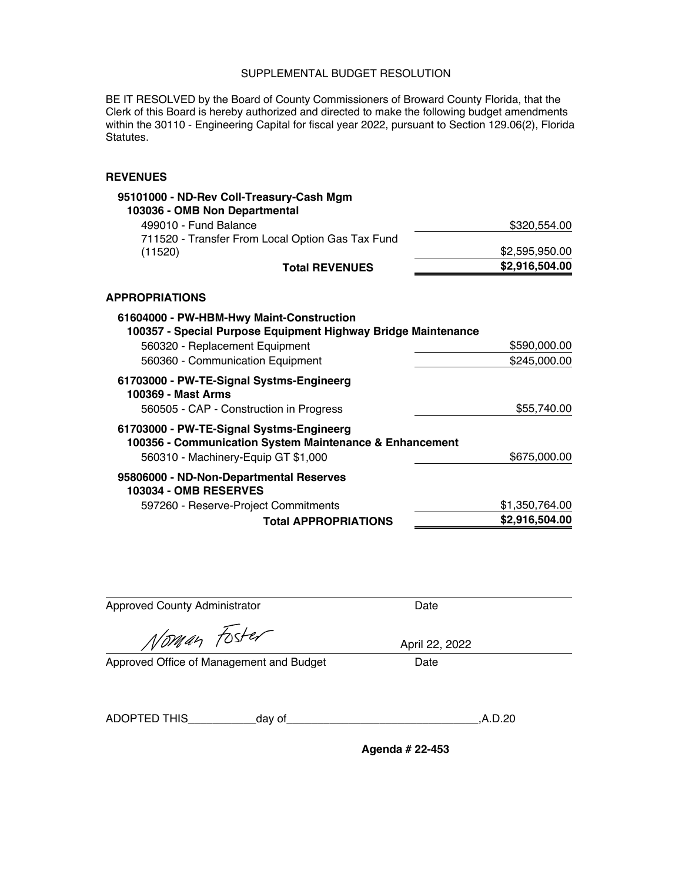BE IT RESOLVED by the Board of County Commissioners of Broward County Florida, that the Clerk of this Board is hereby authorized and directed to make the following budget amendments within the 30110 - Engineering Capital for fiscal year 2022, pursuant to Section 129.06(2), Florida Statutes.

**REVENUES** 

| 95101000 - ND-Rev Coll-Treasury-Cash Mgm<br>103036 - OMB Non Departmental                                 |                |
|-----------------------------------------------------------------------------------------------------------|----------------|
| 499010 - Fund Balance                                                                                     | \$320,554.00   |
| 711520 - Transfer From Local Option Gas Tax Fund<br>(11520)                                               | \$2,595,950.00 |
| <b>Total REVENUES</b>                                                                                     | \$2,916,504.00 |
| <b>APPROPRIATIONS</b>                                                                                     |                |
| 61604000 - PW-HBM-Hwy Maint-Construction<br>100357 - Special Purpose Equipment Highway Bridge Maintenance |                |
| 560320 - Replacement Equipment                                                                            | \$590,000.00   |
| 560360 - Communication Equipment                                                                          | \$245,000.00   |
| 61703000 - PW-TE-Signal Systms-Engineerg<br>100369 - Mast Arms                                            |                |
| 560505 - CAP - Construction in Progress                                                                   | \$55,740.00    |
| 61703000 - PW-TE-Signal Systms-Engineerg<br>100356 - Communication System Maintenance & Enhancement       |                |
| 560310 - Machinery-Equip GT \$1,000                                                                       | \$675,000.00   |
| 95806000 - ND-Non-Departmental Reserves<br><b>103034 - OMB RESERVES</b>                                   |                |
| 597260 - Reserve-Project Commitments                                                                      | \$1,350,764.00 |
| <b>Total APPROPRIATIONS</b>                                                                               | \$2,916,504.00 |

| <b>Approved County Administrator</b>     |          | Date           |  |
|------------------------------------------|----------|----------------|--|
| Noman Foster                             |          | April 22, 2022 |  |
| Approved Office of Management and Budget |          | Date           |  |
|                                          |          |                |  |
| ADOPTED THIS                             | _day of_ | .A.D.20        |  |
|                                          |          |                |  |

**Agenda # 22-453** 

÷,

÷.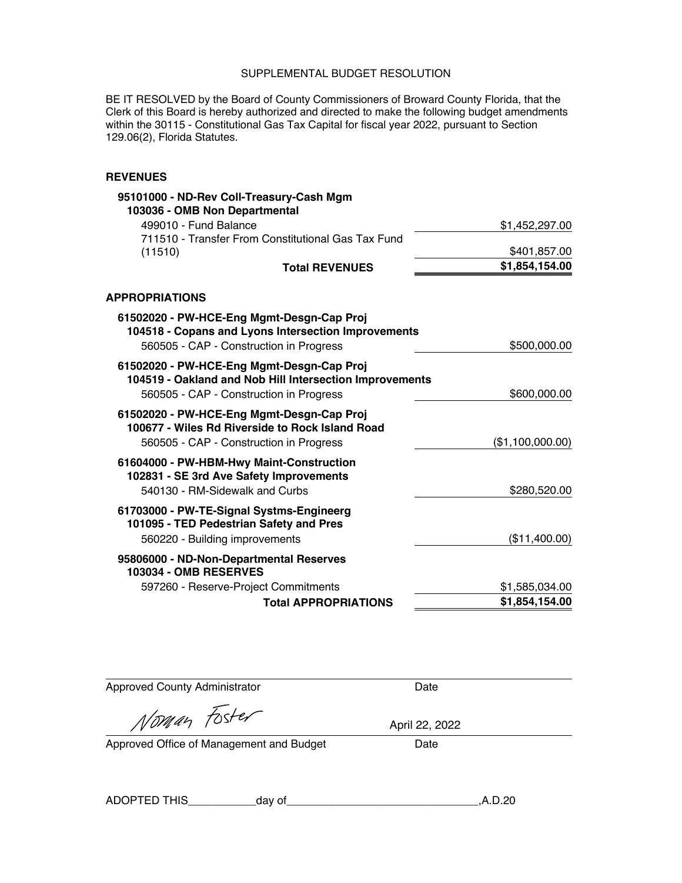BE IT RESOLVED by the Board of County Commissioners of Broward County Florida, that the Clerk of this Board is hereby authorized and directed to make the following budget amendments within the 30115 - Constitutional Gas Tax Capital for fiscal year 2022, pursuant to Section 129.06(2), Florida Statutes.

### **REVENUES**

| 95101000 - ND-Rev Coll-Treasury-Cash Mgm                                                                                                        |                  |
|-------------------------------------------------------------------------------------------------------------------------------------------------|------------------|
| 103036 - OMB Non Departmental                                                                                                                   |                  |
| 499010 - Fund Balance                                                                                                                           | \$1,452,297.00   |
| 711510 - Transfer From Constitutional Gas Tax Fund                                                                                              |                  |
| (11510)                                                                                                                                         | \$401,857.00     |
| <b>Total REVENUES</b>                                                                                                                           | \$1,854,154.00   |
| <b>APPROPRIATIONS</b>                                                                                                                           |                  |
| 61502020 - PW-HCE-Eng Mgmt-Desgn-Cap Proj<br>104518 - Copans and Lyons Intersection Improvements                                                |                  |
| 560505 - CAP - Construction in Progress                                                                                                         | \$500,000.00     |
| 61502020 - PW-HCE-Eng Mgmt-Desgn-Cap Proj<br>104519 - Oakland and Nob Hill Intersection Improvements<br>560505 - CAP - Construction in Progress | \$600,000.00     |
| 61502020 - PW-HCE-Eng Mgmt-Desgn-Cap Proj<br>100677 - Wiles Rd Riverside to Rock Island Road<br>560505 - CAP - Construction in Progress         | (\$1,100,000.00) |
| 61604000 - PW-HBM-Hwy Maint-Construction<br>102831 - SE 3rd Ave Safety Improvements<br>540130 - RM-Sidewalk and Curbs                           | \$280,520.00     |
| 61703000 - PW-TE-Signal Systms-Engineerg<br>101095 - TED Pedestrian Safety and Pres<br>560220 - Building improvements                           | (\$11,400.00)    |
| 95806000 - ND-Non-Departmental Reserves<br><b>103034 - OMB RESERVES</b>                                                                         |                  |
| 597260 - Reserve-Project Commitments                                                                                                            | \$1,585,034.00   |
| <b>Total APPROPRIATIONS</b>                                                                                                                     | \$1,854,154.00   |

Approved County Administrator **Date** 

Noman Foster

April 22, 2022

Approved Office of Management and Budget Date

ADOPTED THIS\_\_\_\_\_\_\_\_\_\_\_day [of\\_\\_\\_\\_\\_\\_\\_\\_\\_\\_\\_\\_\\_\\_\\_\\_\\_\\_\\_\\_\\_\\_\\_\\_\\_\\_\\_\\_\\_\\_\\_,A.D.20](https://of_______________________________,A.D.20)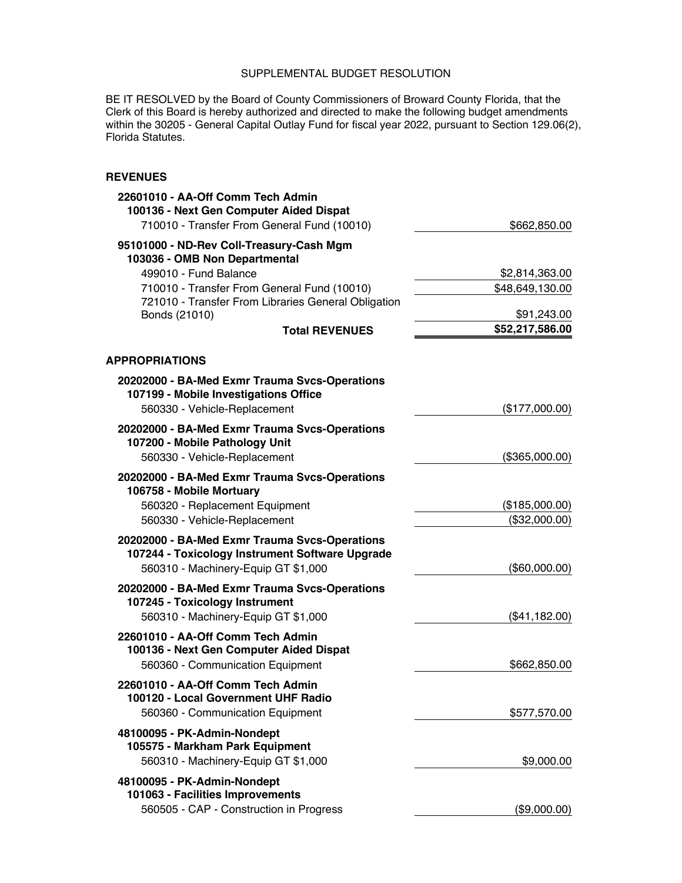BE IT RESOLVED by the Board of County Commissioners of Broward County Florida, that the Clerk of this Board is hereby authorized and directed to make the following budget amendments within the 30205 - General Capital Outlay Fund for fiscal year 2022, pursuant to Section 129.06(2), Florida Statutes.

| 95101000 - ND-Rev Coll-Treasury-Cash Mgm<br>103036 - OMB Non Departmental<br>499010 - Fund Balance<br>\$2,814,363.00<br>710010 - Transfer From General Fund (10010)<br>\$48,649,130.00<br>721010 - Transfer From Libraries General Obligation<br>Bonds (21010)<br>\$91,243.00<br>\$52,217,586.00<br><b>Total REVENUES</b><br>20202000 - BA-Med Exmr Trauma Svcs-Operations<br>107199 - Mobile Investigations Office<br>560330 - Vehicle-Replacement<br>(\$177,000.00)<br>20202000 - BA-Med Exmr Trauma Svcs-Operations<br>107200 - Mobile Pathology Unit<br>560330 - Vehicle-Replacement<br>(\$365,000.00)<br>20202000 - BA-Med Exmr Trauma Svcs-Operations<br>106758 - Mobile Mortuary<br>560320 - Replacement Equipment<br>(\$185,000.00)<br>560330 - Vehicle-Replacement<br>(\$32,000.00)<br>20202000 - BA-Med Exmr Trauma Svcs-Operations<br>107244 - Toxicology Instrument Software Upgrade<br>560310 - Machinery-Equip GT \$1,000<br>(\$60,000.00)<br>20202000 - BA-Med Exmr Trauma Svcs-Operations<br>107245 - Toxicology Instrument<br>560310 - Machinery-Equip GT \$1,000<br>(\$41,182.00)<br>22601010 - AA-Off Comm Tech Admin<br>100136 - Next Gen Computer Aided Dispat<br>560360 - Communication Equipment<br>\$662,850.00<br>22601010 - AA-Off Comm Tech Admin<br>100120 - Local Government UHF Radio<br>560360 - Communication Equipment<br>\$577,570.00<br>48100095 - PK-Admin-Nondept<br>105575 - Markham Park Equipment<br>560310 - Machinery-Equip GT \$1,000<br>\$9,000.00<br>48100095 - PK-Admin-Nondept<br>101063 - Facilities Improvements | 22601010 - AA-Off Comm Tech Admin<br>100136 - Next Gen Computer Aided Dispat<br>710010 - Transfer From General Fund (10010) | \$662,850.00 |
|-------------------------------------------------------------------------------------------------------------------------------------------------------------------------------------------------------------------------------------------------------------------------------------------------------------------------------------------------------------------------------------------------------------------------------------------------------------------------------------------------------------------------------------------------------------------------------------------------------------------------------------------------------------------------------------------------------------------------------------------------------------------------------------------------------------------------------------------------------------------------------------------------------------------------------------------------------------------------------------------------------------------------------------------------------------------------------------------------------------------------------------------------------------------------------------------------------------------------------------------------------------------------------------------------------------------------------------------------------------------------------------------------------------------------------------------------------------------------------------------------------------------------------------------------------------------|-----------------------------------------------------------------------------------------------------------------------------|--------------|
|                                                                                                                                                                                                                                                                                                                                                                                                                                                                                                                                                                                                                                                                                                                                                                                                                                                                                                                                                                                                                                                                                                                                                                                                                                                                                                                                                                                                                                                                                                                                                                   |                                                                                                                             |              |
|                                                                                                                                                                                                                                                                                                                                                                                                                                                                                                                                                                                                                                                                                                                                                                                                                                                                                                                                                                                                                                                                                                                                                                                                                                                                                                                                                                                                                                                                                                                                                                   |                                                                                                                             |              |
|                                                                                                                                                                                                                                                                                                                                                                                                                                                                                                                                                                                                                                                                                                                                                                                                                                                                                                                                                                                                                                                                                                                                                                                                                                                                                                                                                                                                                                                                                                                                                                   |                                                                                                                             |              |
|                                                                                                                                                                                                                                                                                                                                                                                                                                                                                                                                                                                                                                                                                                                                                                                                                                                                                                                                                                                                                                                                                                                                                                                                                                                                                                                                                                                                                                                                                                                                                                   |                                                                                                                             |              |
|                                                                                                                                                                                                                                                                                                                                                                                                                                                                                                                                                                                                                                                                                                                                                                                                                                                                                                                                                                                                                                                                                                                                                                                                                                                                                                                                                                                                                                                                                                                                                                   |                                                                                                                             |              |
|                                                                                                                                                                                                                                                                                                                                                                                                                                                                                                                                                                                                                                                                                                                                                                                                                                                                                                                                                                                                                                                                                                                                                                                                                                                                                                                                                                                                                                                                                                                                                                   | <b>APPROPRIATIONS</b>                                                                                                       |              |
|                                                                                                                                                                                                                                                                                                                                                                                                                                                                                                                                                                                                                                                                                                                                                                                                                                                                                                                                                                                                                                                                                                                                                                                                                                                                                                                                                                                                                                                                                                                                                                   |                                                                                                                             |              |
|                                                                                                                                                                                                                                                                                                                                                                                                                                                                                                                                                                                                                                                                                                                                                                                                                                                                                                                                                                                                                                                                                                                                                                                                                                                                                                                                                                                                                                                                                                                                                                   |                                                                                                                             |              |
|                                                                                                                                                                                                                                                                                                                                                                                                                                                                                                                                                                                                                                                                                                                                                                                                                                                                                                                                                                                                                                                                                                                                                                                                                                                                                                                                                                                                                                                                                                                                                                   |                                                                                                                             |              |
|                                                                                                                                                                                                                                                                                                                                                                                                                                                                                                                                                                                                                                                                                                                                                                                                                                                                                                                                                                                                                                                                                                                                                                                                                                                                                                                                                                                                                                                                                                                                                                   |                                                                                                                             |              |
|                                                                                                                                                                                                                                                                                                                                                                                                                                                                                                                                                                                                                                                                                                                                                                                                                                                                                                                                                                                                                                                                                                                                                                                                                                                                                                                                                                                                                                                                                                                                                                   |                                                                                                                             |              |
|                                                                                                                                                                                                                                                                                                                                                                                                                                                                                                                                                                                                                                                                                                                                                                                                                                                                                                                                                                                                                                                                                                                                                                                                                                                                                                                                                                                                                                                                                                                                                                   |                                                                                                                             |              |
|                                                                                                                                                                                                                                                                                                                                                                                                                                                                                                                                                                                                                                                                                                                                                                                                                                                                                                                                                                                                                                                                                                                                                                                                                                                                                                                                                                                                                                                                                                                                                                   |                                                                                                                             |              |
|                                                                                                                                                                                                                                                                                                                                                                                                                                                                                                                                                                                                                                                                                                                                                                                                                                                                                                                                                                                                                                                                                                                                                                                                                                                                                                                                                                                                                                                                                                                                                                   |                                                                                                                             |              |
|                                                                                                                                                                                                                                                                                                                                                                                                                                                                                                                                                                                                                                                                                                                                                                                                                                                                                                                                                                                                                                                                                                                                                                                                                                                                                                                                                                                                                                                                                                                                                                   |                                                                                                                             |              |
|                                                                                                                                                                                                                                                                                                                                                                                                                                                                                                                                                                                                                                                                                                                                                                                                                                                                                                                                                                                                                                                                                                                                                                                                                                                                                                                                                                                                                                                                                                                                                                   |                                                                                                                             |              |
|                                                                                                                                                                                                                                                                                                                                                                                                                                                                                                                                                                                                                                                                                                                                                                                                                                                                                                                                                                                                                                                                                                                                                                                                                                                                                                                                                                                                                                                                                                                                                                   |                                                                                                                             |              |
|                                                                                                                                                                                                                                                                                                                                                                                                                                                                                                                                                                                                                                                                                                                                                                                                                                                                                                                                                                                                                                                                                                                                                                                                                                                                                                                                                                                                                                                                                                                                                                   |                                                                                                                             |              |
|                                                                                                                                                                                                                                                                                                                                                                                                                                                                                                                                                                                                                                                                                                                                                                                                                                                                                                                                                                                                                                                                                                                                                                                                                                                                                                                                                                                                                                                                                                                                                                   |                                                                                                                             |              |
|                                                                                                                                                                                                                                                                                                                                                                                                                                                                                                                                                                                                                                                                                                                                                                                                                                                                                                                                                                                                                                                                                                                                                                                                                                                                                                                                                                                                                                                                                                                                                                   |                                                                                                                             |              |
|                                                                                                                                                                                                                                                                                                                                                                                                                                                                                                                                                                                                                                                                                                                                                                                                                                                                                                                                                                                                                                                                                                                                                                                                                                                                                                                                                                                                                                                                                                                                                                   |                                                                                                                             |              |
|                                                                                                                                                                                                                                                                                                                                                                                                                                                                                                                                                                                                                                                                                                                                                                                                                                                                                                                                                                                                                                                                                                                                                                                                                                                                                                                                                                                                                                                                                                                                                                   |                                                                                                                             |              |
|                                                                                                                                                                                                                                                                                                                                                                                                                                                                                                                                                                                                                                                                                                                                                                                                                                                                                                                                                                                                                                                                                                                                                                                                                                                                                                                                                                                                                                                                                                                                                                   |                                                                                                                             |              |
|                                                                                                                                                                                                                                                                                                                                                                                                                                                                                                                                                                                                                                                                                                                                                                                                                                                                                                                                                                                                                                                                                                                                                                                                                                                                                                                                                                                                                                                                                                                                                                   |                                                                                                                             |              |
|                                                                                                                                                                                                                                                                                                                                                                                                                                                                                                                                                                                                                                                                                                                                                                                                                                                                                                                                                                                                                                                                                                                                                                                                                                                                                                                                                                                                                                                                                                                                                                   | 560505 - CAP - Construction in Progress                                                                                     | (\$9,000.00) |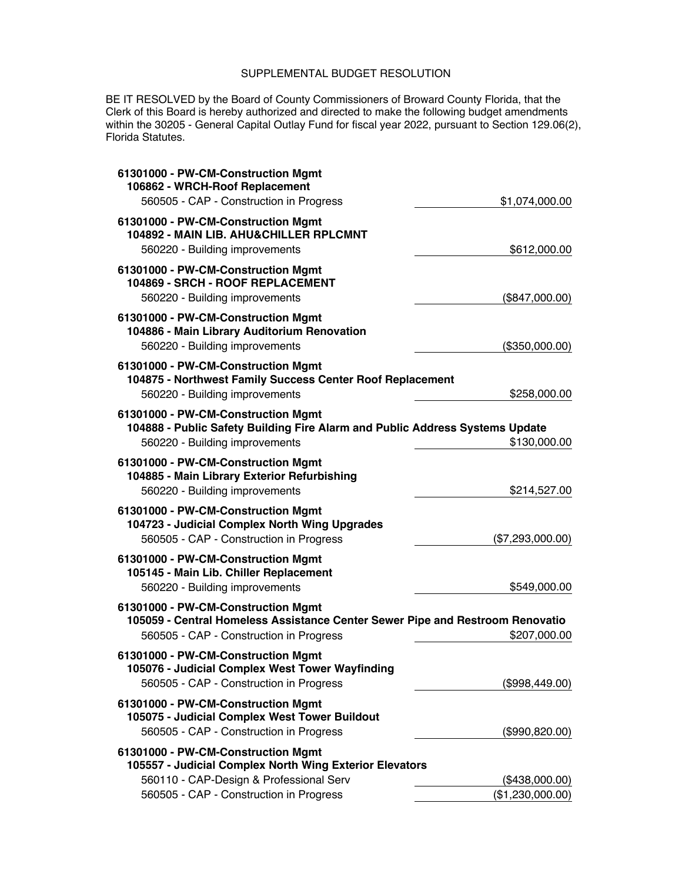BE IT RESOLVED by the Board of County Commissioners of Broward County Florida, that the Clerk of this Board is hereby authorized and directed to make the following budget amendments within the 30205 - General Capital Outlay Fund for fiscal year 2022, pursuant to Section 129.06(2), Florida Statutes.

| 61301000 - PW-CM-Construction Mgmt<br>106862 - WRCH-Roof Replacement<br>560505 - CAP - Construction in Progress                                                | \$1,074,000.00   |
|----------------------------------------------------------------------------------------------------------------------------------------------------------------|------------------|
| 61301000 - PW-CM-Construction Mgmt<br>104892 - MAIN LIB. AHU&CHILLER RPLCMNT<br>560220 - Building improvements                                                 | \$612,000.00     |
| 61301000 - PW-CM-Construction Mgmt<br>104869 - SRCH - ROOF REPLACEMENT<br>560220 - Building improvements                                                       | (\$847,000.00)   |
| 61301000 - PW-CM-Construction Mgmt<br>104886 - Main Library Auditorium Renovation<br>560220 - Building improvements                                            | (\$350,000.00)   |
| 61301000 - PW-CM-Construction Mgmt<br>104875 - Northwest Family Success Center Roof Replacement<br>560220 - Building improvements                              | \$258,000.00     |
| 61301000 - PW-CM-Construction Mgmt<br>104888 - Public Safety Building Fire Alarm and Public Address Systems Update<br>560220 - Building improvements           | \$130,000.00     |
| 61301000 - PW-CM-Construction Mgmt<br>104885 - Main Library Exterior Refurbishing<br>560220 - Building improvements                                            | \$214,527.00     |
| 61301000 - PW-CM-Construction Mgmt<br>104723 - Judicial Complex North Wing Upgrades<br>560505 - CAP - Construction in Progress                                 | (\$7,293,000.00) |
| 61301000 - PW-CM-Construction Mgmt<br>105145 - Main Lib. Chiller Replacement<br>560220 - Building improvements                                                 | \$549,000.00     |
| 61301000 - PW-CM-Construction Mgmt<br>105059 - Central Homeless Assistance Center Sewer Pipe and Restroom Renovatio<br>560505 - CAP - Construction in Progress | \$207,000.00     |
| 61301000 - PW-CM-Construction Mgmt<br>105076 - Judicial Complex West Tower Wayfinding<br>560505 - CAP - Construction in Progress                               | (\$998,449.00)   |
| 61301000 - PW-CM-Construction Mgmt<br>105075 - Judicial Complex West Tower Buildout<br>560505 - CAP - Construction in Progress                                 | (\$990, 820.00)  |
| 61301000 - PW-CM-Construction Mgmt<br>105557 - Judicial Complex North Wing Exterior Elevators<br>560110 - CAP-Design & Professional Serv                       | (\$438,000.00)   |
| 560505 - CAP - Construction in Progress                                                                                                                        | (\$1,230,000.00) |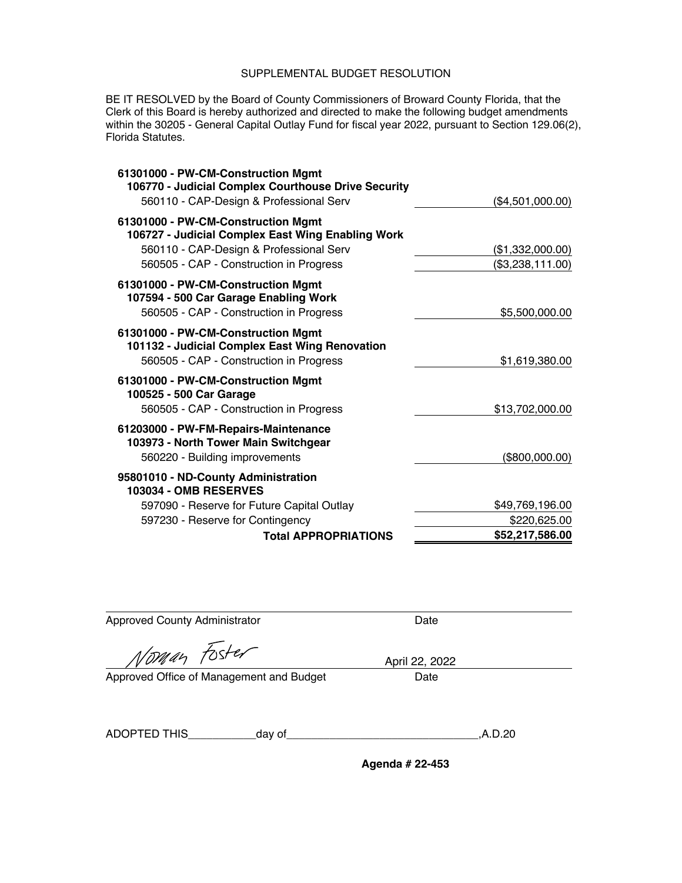BE IT RESOLVED by the Board of County Commissioners of Broward County Florida, that the Clerk of this Board is hereby authorized and directed to make the following budget amendments within the 30205 - General Capital Outlay Fund for fiscal year 2022, pursuant to Section 129.06(2), Florida Statutes.

| 61301000 - PW-CM-Construction Mgmt<br>106770 - Judicial Complex Courthouse Drive Security                                                                                     |                                      |
|-------------------------------------------------------------------------------------------------------------------------------------------------------------------------------|--------------------------------------|
| 560110 - CAP-Design & Professional Serv                                                                                                                                       | (\$4,501,000.00)                     |
| 61301000 - PW-CM-Construction Mgmt<br>106727 - Judicial Complex East Wing Enabling Work<br>560110 - CAP-Design & Professional Serv<br>560505 - CAP - Construction in Progress | (\$1,332,000.00)<br>(\$3,238,111.00) |
| 61301000 - PW-CM-Construction Mgmt<br>107594 - 500 Car Garage Enabling Work<br>560505 - CAP - Construction in Progress                                                        | \$5,500,000.00                       |
| 61301000 - PW-CM-Construction Mgmt<br>101132 - Judicial Complex East Wing Renovation<br>560505 - CAP - Construction in Progress                                               | \$1,619,380.00                       |
| 61301000 - PW-CM-Construction Mgmt<br>100525 - 500 Car Garage<br>560505 - CAP - Construction in Progress                                                                      | \$13,702,000.00                      |
| 61203000 - PW-FM-Repairs-Maintenance<br>103973 - North Tower Main Switchgear<br>560220 - Building improvements                                                                | (\$800,000.00)                       |
| 95801010 - ND-County Administration<br><b>103034 - OMB RESERVES</b>                                                                                                           |                                      |
| 597090 - Reserve for Future Capital Outlay                                                                                                                                    | \$49,769,196.00                      |
| 597230 - Reserve for Contingency                                                                                                                                              | \$220,625.00                         |
| <b>Total APPROPRIATIONS</b>                                                                                                                                                   | \$52,217,586.00                      |

| Date                                             |
|--------------------------------------------------|
| April 22, 2022                                   |
| Approved Office of Management and Budget<br>Date |
|                                                  |
| .A.D.20                                          |
|                                                  |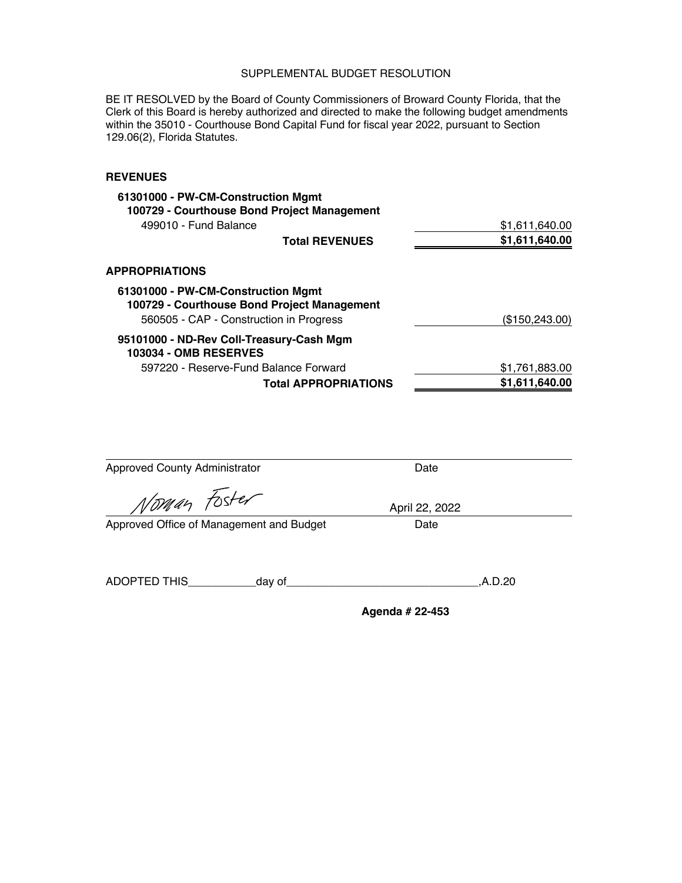BE IT RESOLVED by the Board of County Commissioners of Broward County Florida, that the Clerk of this Board is hereby authorized and directed to make the following budget amendments within the 35010 - Courthouse Bond Capital Fund for fiscal year 2022, pursuant to Section 129.06(2), Florida Statutes.

| 61301000 - PW-CM-Construction Mgmt<br>100729 - Courthouse Bond Project Management |                 |
|-----------------------------------------------------------------------------------|-----------------|
| 499010 - Fund Balance                                                             | \$1,611,640.00  |
| <b>Total REVENUES</b>                                                             | \$1,611,640.00  |
| <b>APPROPRIATIONS</b>                                                             |                 |
| 61301000 - PW-CM-Construction Mgmt<br>100729 - Courthouse Bond Project Management |                 |
| 560505 - CAP - Construction in Progress                                           | (\$150, 243.00) |
| 95101000 - ND-Rev Coll-Treasury-Cash Mgm<br><b>103034 - OMB RESERVES</b>          |                 |
| 597220 - Reserve-Fund Balance Forward                                             | \$1,761,883.00  |
| <b>Total APPROPRIATIONS</b>                                                       | \$1,611,640.00  |

| <b>Approved County Administrator</b>     | Date            |
|------------------------------------------|-----------------|
| Noman Foster                             | April 22, 2022  |
| Approved Office of Management and Budget | Date            |
| ADOPTED THIS<br>_day of_                 | .A.D.20         |
|                                          | Agenda # 22-453 |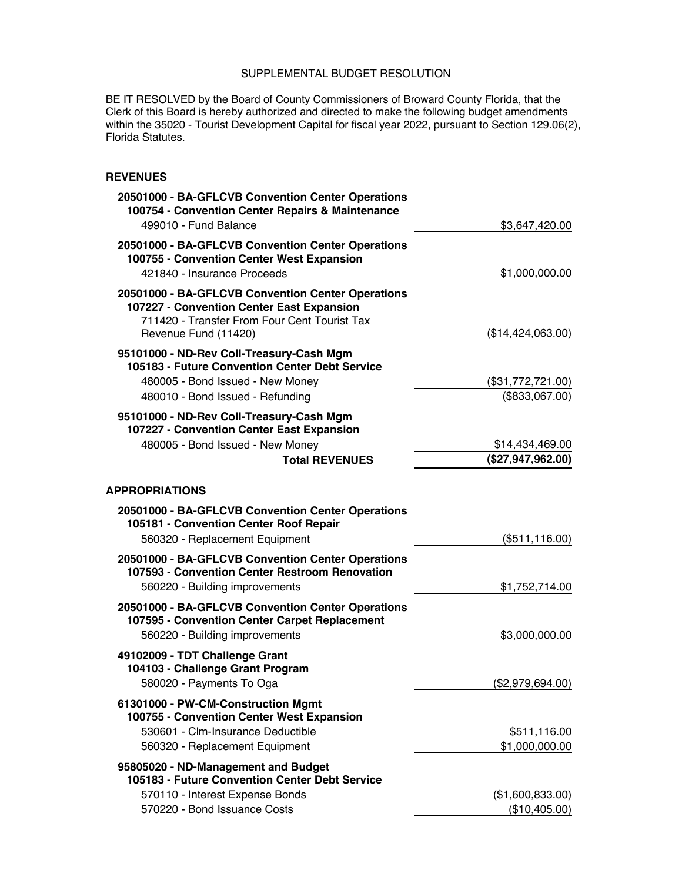BE IT RESOLVED by the Board of County Commissioners of Broward County Florida, that the Clerk of this Board is hereby authorized and directed to make the following budget amendments within the 35020 - Tourist Development Capital for fiscal year 2022, pursuant to Section 129.06(2), Florida Statutes.

| 20501000 - BA-GFLCVB Convention Center Operations<br>100754 - Convention Center Repairs & Maintenance<br>499010 - Fund Balance                                         | \$3,647,420.00                       |
|------------------------------------------------------------------------------------------------------------------------------------------------------------------------|--------------------------------------|
| 20501000 - BA-GFLCVB Convention Center Operations<br>100755 - Convention Center West Expansion<br>421840 - Insurance Proceeds                                          | \$1,000,000.00                       |
| 20501000 - BA-GFLCVB Convention Center Operations<br>107227 - Convention Center East Expansion<br>711420 - Transfer From Four Cent Tourist Tax<br>Revenue Fund (11420) | (\$14,424,063.00)                    |
| 95101000 - ND-Rev Coll-Treasury-Cash Mgm<br>105183 - Future Convention Center Debt Service<br>480005 - Bond Issued - New Money<br>480010 - Bond Issued - Refunding     | (\$31,772,721.00)<br>(\$833,067.00)  |
| 95101000 - ND-Rev Coll-Treasury-Cash Mgm<br>107227 - Convention Center East Expansion<br>480005 - Bond Issued - New Money<br><b>Total REVENUES</b>                     | \$14,434,469.00<br>(\$27,947,962.00) |
| <b>APPROPRIATIONS</b>                                                                                                                                                  |                                      |
| 20501000 - BA-GFLCVB Convention Center Operations<br>105181 - Convention Center Roof Repair<br>560320 - Replacement Equipment                                          | (\$511, 116.00)                      |
| 20501000 - BA-GFLCVB Convention Center Operations<br>107593 - Convention Center Restroom Renovation<br>560220 - Building improvements                                  | \$1,752,714.00                       |
| 20501000 - BA-GFLCVB Convention Center Operations<br>107595 - Convention Center Carpet Replacement<br>560220 - Building improvements                                   | \$3,000,000.00                       |
| 49102009 - TDT Challenge Grant<br>104103 - Challenge Grant Program<br>580020 - Payments To Oga                                                                         | (\$2,979,694.00)                     |
| 61301000 - PW-CM-Construction Mgmt<br>100755 - Convention Center West Expansion<br>530601 - Clm-Insurance Deductible<br>560320 - Replacement Equipment                 | \$511,116.00<br>\$1,000,000.00       |
| 95805020 - ND-Management and Budget<br>105183 - Future Convention Center Debt Service<br>570110 - Interest Expense Bonds<br>570220 - Bond Issuance Costs               | (\$1,600,833.00)<br>(\$10,405.00)    |
|                                                                                                                                                                        |                                      |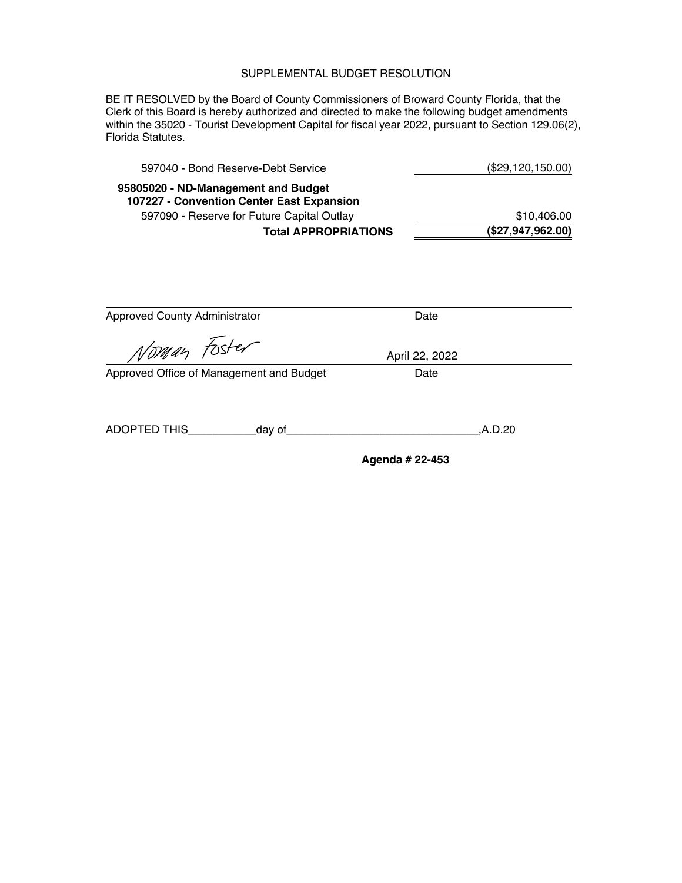BE IT RESOLVED by the Board of County Commissioners of Broward County Florida, that the Clerk of this Board is hereby authorized and directed to make the following budget amendments within the 35020 - Tourist Development Capital for fiscal year 2022, pursuant to Section 129.06(2), Florida Statutes.

| 597040 - Bond Reserve-Debt Service                                               | (\$29,120,150.00) |
|----------------------------------------------------------------------------------|-------------------|
| 95805020 - ND-Management and Budget<br>107227 - Convention Center East Expansion |                   |
| 597090 - Reserve for Future Capital Outlay                                       | \$10,406.00       |
| <b>Total APPROPRIATIONS</b>                                                      | (\$27,947,962.00) |
|                                                                                  |                   |

| <b>Approved County Administrator</b>     | Date            |
|------------------------------------------|-----------------|
|                                          |                 |
| Noman Foster                             | April 22, 2022  |
| Approved Office of Management and Budget | Date            |
|                                          |                 |
| ADOPTED THIS<br>_day of__                | .A.D.20         |
|                                          | Agenda # 22-453 |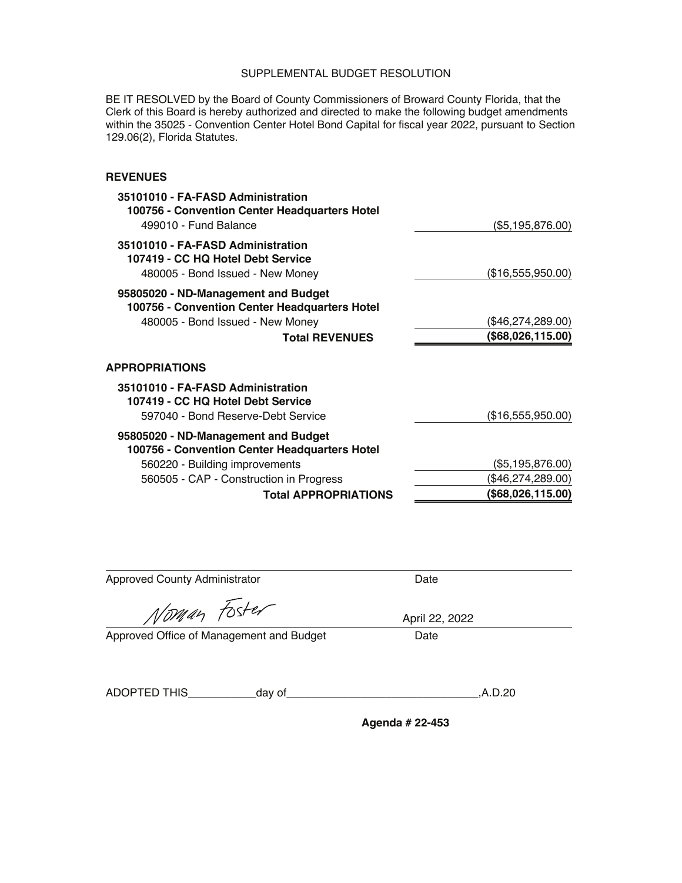BE IT RESOLVED by the Board of County Commissioners of Broward County Florida, that the Clerk of this Board is hereby authorized and directed to make the following budget amendments within the 35025 - Convention Center Hotel Bond Capital for fiscal year 2022, pursuant to Section 129.06(2), Florida Statutes.

### **REVENUES**

| 35101010 - FA-FASD Administration<br>100756 - Convention Center Headquarters Hotel<br>499010 - Fund Balance                                       | (\$5,195,876.00)                       |
|---------------------------------------------------------------------------------------------------------------------------------------------------|----------------------------------------|
| 35101010 - FA-FASD Administration<br>107419 - CC HQ Hotel Debt Service<br>480005 - Bond Issued - New Money                                        | (\$16,555,950.00)                      |
| 95805020 - ND-Management and Budget<br>100756 - Convention Center Headquarters Hotel<br>480005 - Bond Issued - New Money<br><b>Total REVENUES</b> | (\$46,274,289.00)<br>(\$68,026,115.00) |
| <b>APPROPRIATIONS</b>                                                                                                                             |                                        |
| 35101010 - FA-FASD Administration<br>107419 - CC HQ Hotel Debt Service<br>597040 - Bond Reserve-Debt Service                                      | (\$16,555,950.00)                      |
| 95805020 - ND-Management and Budget<br>100756 - Convention Center Headquarters Hotel                                                              |                                        |
| 560220 - Building improvements                                                                                                                    | (\$5,195,876.00)                       |
| 560505 - CAP - Construction in Progress                                                                                                           | (\$46,274,289.00)                      |
| <b>Total APPROPRIATIONS</b>                                                                                                                       | (\$68,026,115.00)                      |
|                                                                                                                                                   |                                        |

| <b>Approved County Administrator</b>     | Date           |  |
|------------------------------------------|----------------|--|
| Noman Foster                             | April 22, 2022 |  |
| Approved Office of Management and Budget | Date           |  |
|                                          |                |  |

ADOPTED THIS\_\_\_\_\_\_\_\_\_\_\_day [of\\_\\_\\_\\_\\_\\_\\_\\_\\_\\_\\_\\_\\_\\_\\_\\_\\_\\_\\_\\_\\_\\_\\_\\_\\_\\_\\_\\_\\_\\_\\_,A.D.20](https://of_______________________________,A.D.20)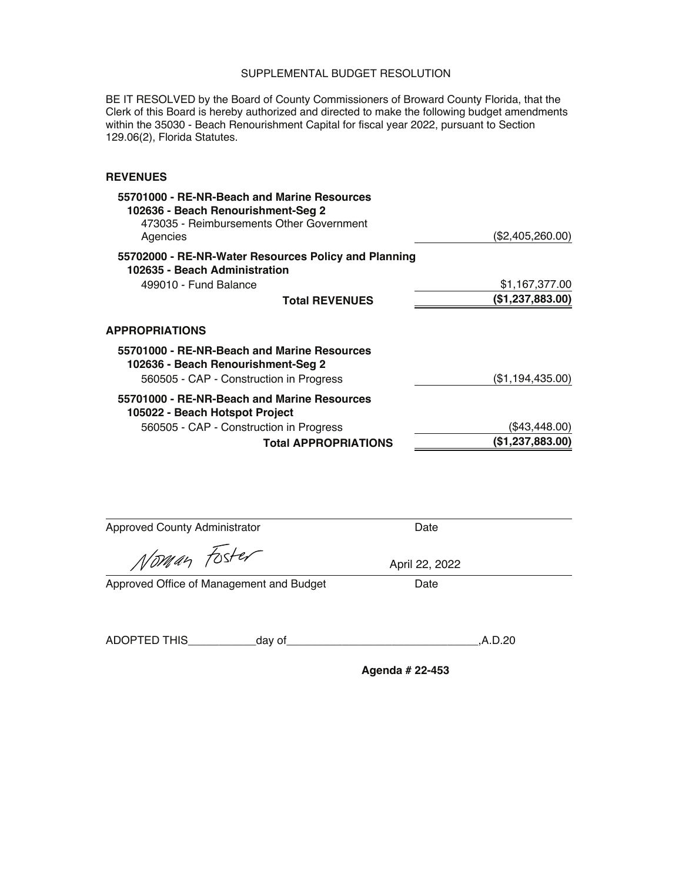BE IT RESOLVED by the Board of County Commissioners of Broward County Florida, that the Clerk of this Board is hereby authorized and directed to make the following budget amendments within the 35030 - Beach Renourishment Capital for fiscal year 2022, pursuant to Section 129.06(2), Florida Statutes.

### **REVENUES**

| 55701000 - RE-NR-Beach and Marine Resources<br>102636 - Beach Renourishment-Seg 2<br>473035 - Reimbursements Other Government<br>Agencies | (\$2,405,260.00) |
|-------------------------------------------------------------------------------------------------------------------------------------------|------------------|
| 55702000 - RE-NR-Water Resources Policy and Planning<br>102635 - Beach Administration                                                     |                  |
| 499010 - Fund Balance                                                                                                                     | \$1,167,377.00   |
| <b>Total REVENUES</b>                                                                                                                     | (\$1,237,883.00) |
| <b>APPROPRIATIONS</b>                                                                                                                     |                  |
| 55701000 - RE-NR-Beach and Marine Resources<br>102636 - Beach Renourishment-Seg 2                                                         |                  |
| 560505 - CAP - Construction in Progress                                                                                                   | (\$1,194,435.00) |
| 55701000 - RE-NR-Beach and Marine Resources<br>105022 - Beach Hotspot Project                                                             |                  |
| 560505 - CAP - Construction in Progress                                                                                                   | (\$43,448.00)    |
| <b>Total APPROPRIATIONS</b>                                                                                                               | (\$1,237,883.00) |

Approved County Administrator **Date** Date

Noman Foster

Approved Office of Management and Budget Date

ADOPTED THIS\_\_\_\_\_\_\_\_\_\_\_day [of\\_\\_\\_\\_\\_\\_\\_\\_\\_\\_\\_\\_\\_\\_\\_\\_\\_\\_\\_\\_\\_\\_\\_\\_\\_\\_\\_\\_\\_\\_\\_,A.D.20](https://of_______________________________,A.D.20) 

**Agenda # 22-453** 

April 22, 2022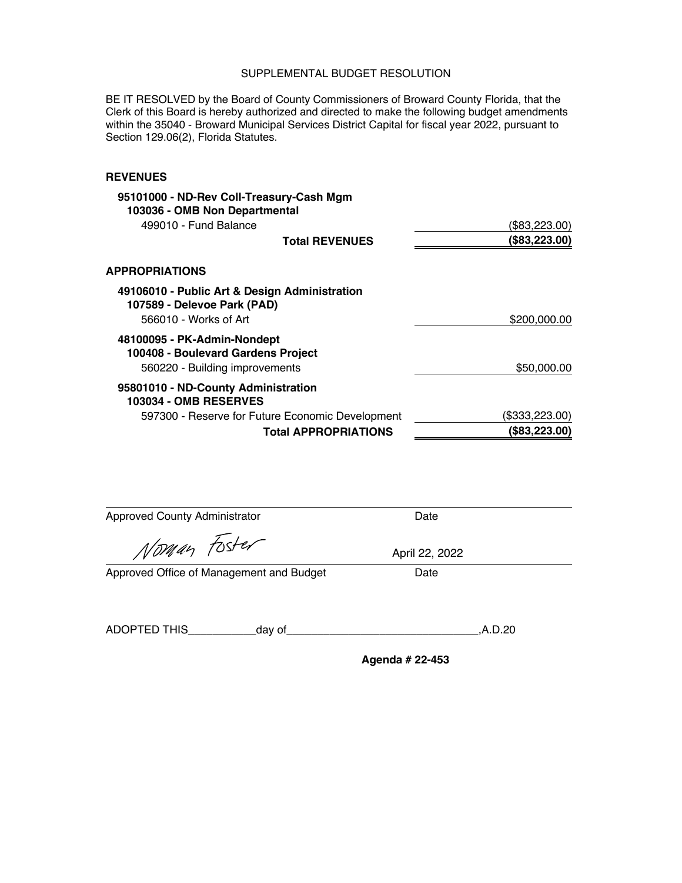BE IT RESOLVED by the Board of County Commissioners of Broward County Florida, that the Clerk of this Board is hereby authorized and directed to make the following budget amendments within the 35040 - Broward Municipal Services District Capital for fiscal year 2022, pursuant to Section 129.06(2), Florida Statutes.

#### **REVENUES**

| 95101000 - ND-Rev Coll-Treasury-Cash Mgm                                     |                |
|------------------------------------------------------------------------------|----------------|
| 103036 - OMB Non Departmental                                                |                |
| 499010 - Fund Balance                                                        | (\$83,223.00)  |
| <b>Total REVENUES</b>                                                        | (\$83,223.00)  |
| <b>APPROPRIATIONS</b>                                                        |                |
| 49106010 - Public Art & Design Administration<br>107589 - Delevoe Park (PAD) |                |
| 566010 - Works of Art                                                        | \$200,000.00   |
| 48100095 - PK-Admin-Nondept<br>100408 - Boulevard Gardens Project            |                |
| 560220 - Building improvements                                               | \$50,000.00    |
| 95801010 - ND-County Administration<br><b>103034 - OMB RESERVES</b>          |                |
| 597300 - Reserve for Future Economic Development                             | (\$333,223.00) |
| <b>Total APPROPRIATIONS</b>                                                  | (\$83,223.00)  |

Approved County Administrator **Date** Date

Norman Foster

April 22, 2022

Approved Office of Management and Budget Date

ADOPTED THIS\_\_\_\_\_\_\_\_\_\_\_day [of\\_\\_\\_\\_\\_\\_\\_\\_\\_\\_\\_\\_\\_\\_\\_\\_\\_\\_\\_\\_\\_\\_\\_\\_\\_\\_\\_\\_\\_\\_\\_,A.D.20](https://of_______________________________,A.D.20)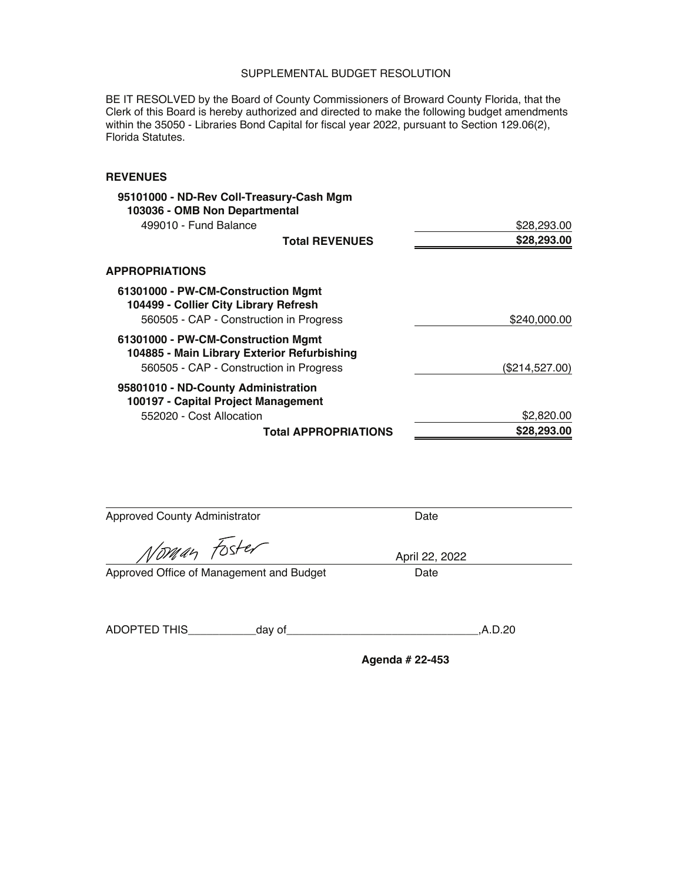BE IT RESOLVED by the Board of County Commissioners of Broward County Florida, that the Clerk of this Board is hereby authorized and directed to make the following budget amendments within the 35050 - Libraries Bond Capital for fiscal year 2022, pursuant to Section 129.06(2), Florida Statutes.

### **REVENUES**

|                | 95101000 - ND-Rev Coll-Treasury-Cash Mgm                                          |
|----------------|-----------------------------------------------------------------------------------|
|                | 103036 - OMB Non Departmental                                                     |
| \$28,293.00    | 499010 - Fund Balance                                                             |
| \$28,293.00    | <b>Total REVENUES</b>                                                             |
|                | <b>APPROPRIATIONS</b>                                                             |
|                | 61301000 - PW-CM-Construction Mgmt<br>104499 - Collier City Library Refresh       |
| \$240,000.00   | 560505 - CAP - Construction in Progress                                           |
|                | 61301000 - PW-CM-Construction Mgmt<br>104885 - Main Library Exterior Refurbishing |
| (\$214,527.00) | 560505 - CAP - Construction in Progress                                           |
|                | 95801010 - ND-County Administration<br>100197 - Capital Project Management        |
| \$2,820.00     | 552020 - Cost Allocation                                                          |
| \$28,293.00    | <b>Total APPROPRIATIONS</b>                                                       |

Approved County Administrator **Date** 

Noman Foster

Approved Office of Management and Budget Date

ADOPTED THIS\_\_\_\_\_\_\_\_\_\_\_day [of\\_\\_\\_\\_\\_\\_\\_\\_\\_\\_\\_\\_\\_\\_\\_\\_\\_\\_\\_\\_\\_\\_\\_\\_\\_\\_\\_\\_\\_\\_\\_,A.D.20](https://of_______________________________,A.D.20) 

**Agenda # 22-453** 

April 22, 2022